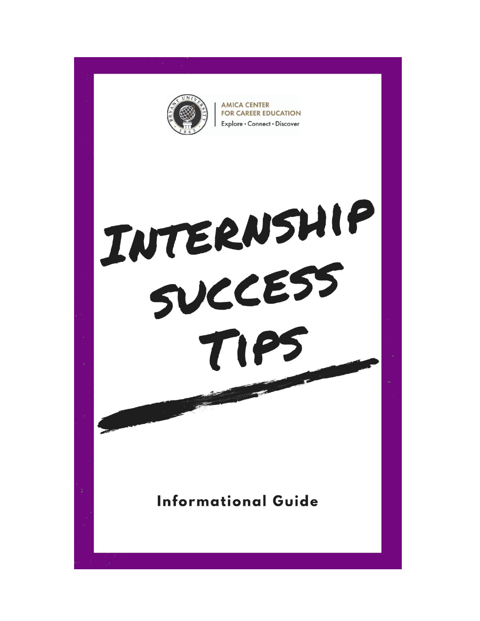

**AMICA CENTER FOR CAREER EDUCATION** Explore · Connect · Discover

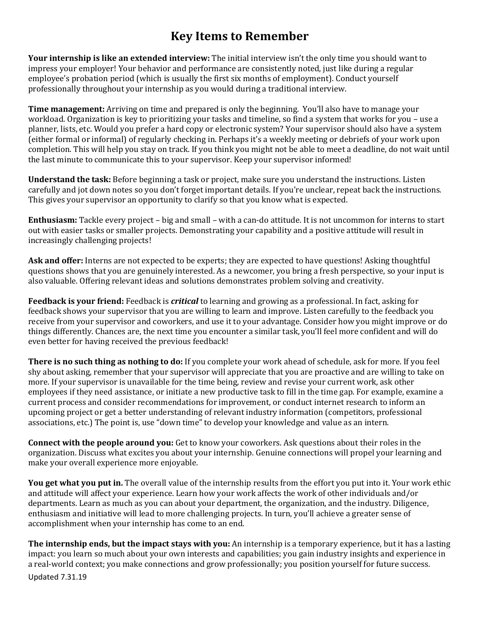# **Key Items to Remember**

**Your internship is like an extended interview:** The initial interview isn't the only time you should want to impress your employer! Your behavior and performance are consistently noted, just like during a regular employee's probation period (which is usually the first six months of employment). Conduct yourself professionally throughout your internship as you would during a traditional interview.

**Time management:** Arriving on time and prepared is only the beginning. You'll also have to manage your workload. Organization is key to prioritizing your tasks and timeline, so find a system that works for you – use a planner, lists, etc. Would you prefer a hard copy or electronic system? Your supervisor should also have a system (either formal or informal) of regularly checking in. Perhaps it's a weekly meeting or debriefs of your work upon completion. This will help you stay on track. If you think you might not be able to meet a deadline, do not wait until the last minute to communicate this to your supervisor. Keep your supervisor informed!

**Understand the task:** Before beginning a task or project, make sure you understand the instructions. Listen carefully and jot down notes so you don't forget important details. If you're unclear, repeat back the instructions. This gives your supervisor an opportunity to clarify so that you know what is expected.

**Enthusiasm:** Tackle every project – big and small – with a can-do attitude. It is not uncommon for interns to start out with easier tasks or smaller projects. Demonstrating your capability and a positive attitude will result in increasingly challenging projects!

**Ask and offer:** Interns are not expected to be experts; they are expected to have questions! Asking thoughtful questions shows that you are genuinely interested. As a newcomer, you bring a fresh perspective, so your input is also valuable. Offering relevant ideas and solutions demonstrates problem solving and creativity.

**Feedback is your friend:** Feedback is *critical* to learning and growing as a professional. In fact, asking for feedback shows your supervisor that you are willing to learn and improve. Listen carefully to the feedback you receive from your supervisor and coworkers, and use it to your advantage. Consider how you might improve or do things differently. Chances are, the next time you encounter a similar task, you'll feel more confident and will do even better for having received the previous feedback!

**There is no such thing as nothing to do:** If you complete your work ahead of schedule, ask for more. If you feel shy about asking, remember that your supervisor will appreciate that you are proactive and are willing to take on more. If your supervisor is unavailable for the time being, review and revise your current work, ask other employees if they need assistance, or initiate a new productive task to fill in the time gap. For example, examine a current process and consider recommendations for improvement, or conduct internet research to inform an upcoming project or get a better understanding of relevant industry information (competitors, professional associations, etc.) The point is, use "down time" to develop your knowledge and value as an intern.

**Connect with the people around you:** Get to know your coworkers. Ask questions about their roles in the organization. Discuss what excites you about your internship. Genuine connections will propel your learning and make your overall experience more enjoyable.

**You get what you put in.** The overall value of the internship results from the effort you put into it. Your work ethic and attitude will affect your experience. Learn how your work affects the work of other individuals and/or departments. Learn as much as you can about your department, the organization, and the industry. Diligence, enthusiasm and initiative will lead to more challenging projects. In turn, you'll achieve a greater sense of accomplishment when your internship has come to an end.

**The internship ends, but the impact stays with you:** An internship is a temporary experience, but it has a lasting impact: you learn so much about your own interests and capabilities; you gain industry insights and experience in a real-world context; you make connections and grow professionally; you position yourself for future success.

Updated 7.31.19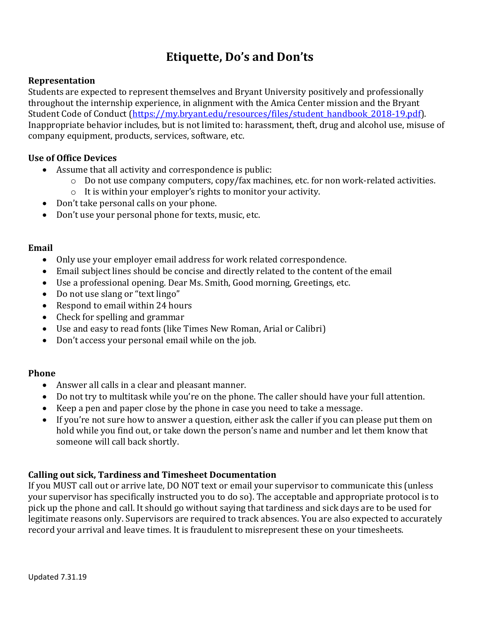# **Etiquette, Do's and Don'ts**

#### **Representation**

Students are expected to represent themselves and Bryant University positively and professionally throughout the internship experience, in alignment with the Amica Center mission and the Bryant Student Code of Conduct [\(https://my.bryant.edu/resources/files/student\\_handbook\\_2018-19.pdf\)](https://my.bryant.edu/resources/files/student_handbook_2018-19.pdf). Inappropriate behavior includes, but is not limited to: harassment, theft, drug and alcohol use, misuse of company equipment, products, services, software, etc.

#### **Use of Office Devices**

- Assume that all activity and correspondence is public:
	- o Do not use company computers, copy/fax machines, etc. for non work-related activities.
	- o It is within your employer's rights to monitor your activity.
- Don't take personal calls on your phone.
- Don't use your personal phone for texts, music, etc.

#### **Email**

- Only use your employer email address for work related correspondence.
- Email subject lines should be concise and directly related to the content of the email
- Use a professional opening. Dear Ms. Smith, Good morning, Greetings, etc.
- Do not use slang or "text lingo"
- Respond to email within 24 hours
- Check for spelling and grammar
- Use and easy to read fonts (like Times New Roman, Arial or Calibri)
- Don't access your personal email while on the job.

### **Phone**

- Answer all calls in a clear and pleasant manner.
- Do not try to multitask while you're on the phone. The caller should have your full attention.
- Keep a pen and paper close by the phone in case you need to take a message.
- If you're not sure how to answer a question, either ask the caller if you can please put them on hold while you find out, or take down the person's name and number and let them know that someone will call back shortly.

### **Calling out sick, Tardiness and Timesheet Documentation**

If you MUST call out or arrive late, DO NOT text or email your supervisor to communicate this (unless your supervisor has specifically instructed you to do so). The acceptable and appropriate protocol is to pick up the phone and call. It should go without saying that tardiness and sick days are to be used for legitimate reasons only. Supervisors are required to track absences. You are also expected to accurately record your arrival and leave times. It is fraudulent to misrepresent these on your timesheets.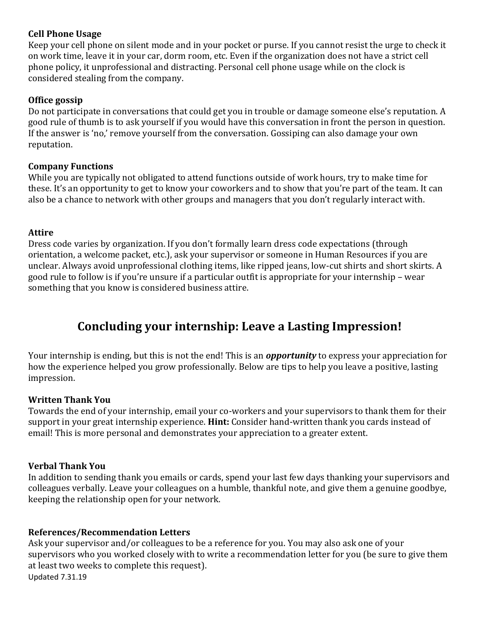## **Cell Phone Usage**

Keep your cell phone on silent mode and in your pocket or purse. If you cannot resist the urge to check it on work time, leave it in your car, dorm room, etc. Even if the organization does not have a strict cell phone policy, it unprofessional and distracting. Personal cell phone usage while on the clock is considered stealing from the company.

## **Office gossip**

Do not participate in conversations that could get you in trouble or damage someone else's reputation. A good rule of thumb is to ask yourself if you would have this conversation in front the person in question. If the answer is 'no,' remove yourself from the conversation. Gossiping can also damage your own reputation.

### **Company Functions**

While you are typically not obligated to attend functions outside of work hours, try to make time for these. It's an opportunity to get to know your coworkers and to show that you're part of the team. It can also be a chance to network with other groups and managers that you don't regularly interact with.

### **Attire**

Dress code varies by organization. If you don't formally learn dress code expectations (through orientation, a welcome packet, etc.), ask your supervisor or someone in Human Resources if you are unclear. Always avoid unprofessional clothing items, like ripped jeans, low-cut shirts and short skirts. A good rule to follow is if you're unsure if a particular outfit is appropriate for your internship – wear something that you know is considered business attire.

# **Concluding your internship: Leave a Lasting Impression!**

Your internship is ending, but this is not the end! This is an *opportunity* to express your appreciation for how the experience helped you grow professionally. Below are tips to help you leave a positive, lasting impression.

## **Written Thank You**

Towards the end of your internship, email your co-workers and your supervisors to thank them for their support in your great internship experience. **Hint:** Consider hand-written thank you cards instead of email! This is more personal and demonstrates your appreciation to a greater extent.

### **Verbal Thank You**

In addition to sending thank you emails or cards, spend your last few days thanking your supervisors and colleagues verbally. Leave your colleagues on a humble, thankful note, and give them a genuine goodbye, keeping the relationship open for your network.

## **References/Recommendation Letters**

Updated 7.31.19 Ask your supervisor and/or colleagues to be a reference for you. You may also ask one of your supervisors who you worked closely with to write a recommendation letter for you (be sure to give them at least two weeks to complete this request).